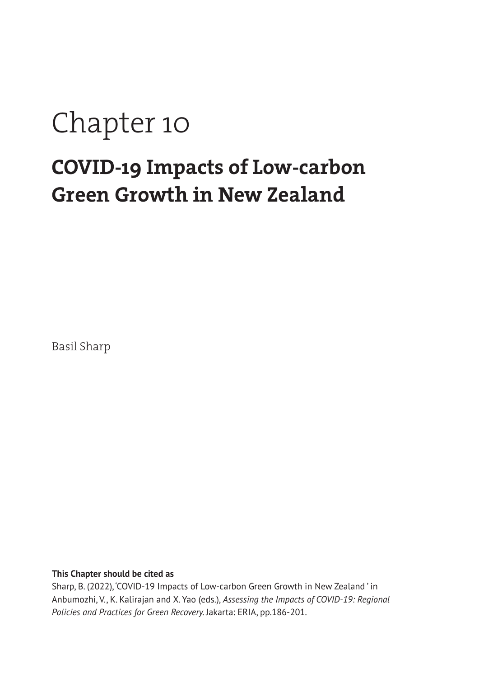# Chapter 10

# **COVID-19 Impacts of Low-carbon Green Growth in New Zealand**

Basil Sharp

#### **This Chapter should be cited as**

Sharp, B. (2022), 'COVID-19 Impacts of Low-carbon Green Growth in New Zealand ' in Anbumozhi, V., K. Kalirajan and X. Yao (eds.), *Assessing the Impacts of COVID-19: Regional Policies and Practices for Green Recovery.* Jakarta: ERIA, pp.186-201.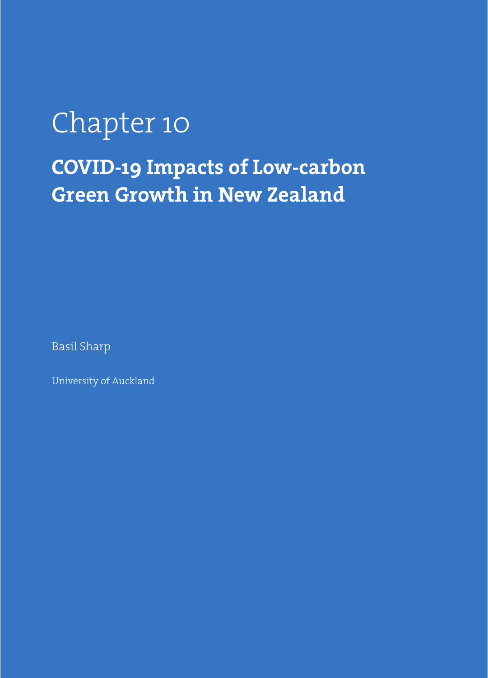# Chapter 10 **COVID-19 Impacts of Low-carbon Green Growth in New Zealand**

Basil Sharp

University of Auckland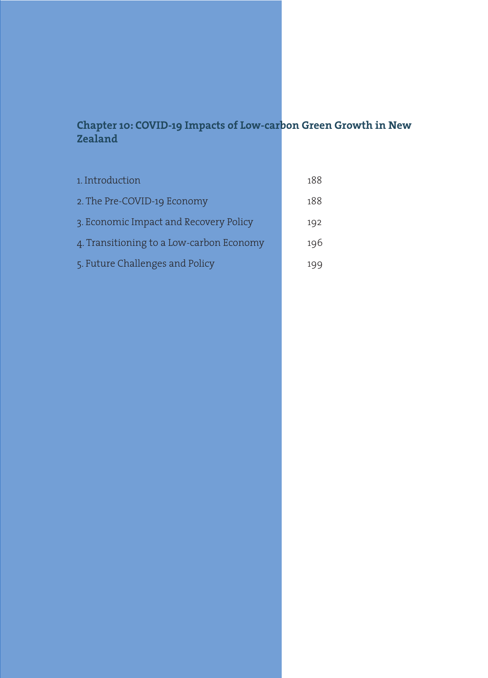# **Chapter 10: COVID-19 Impacts of Low-carbon Green Growth in New Zealand**

| 1. Introduction                          | 188 |
|------------------------------------------|-----|
| 2. The Pre-COVID-19 Economy              | 188 |
| 3. Economic Impact and Recovery Policy   | 192 |
| 4. Transitioning to a Low-carbon Economy | 196 |
| 5. Future Challenges and Policy          | 199 |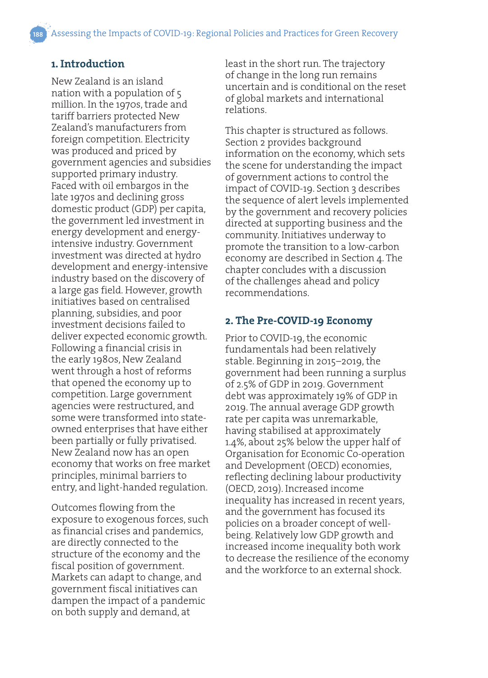### **1. Introduction**

New Zealand is an island nation with a population of 5 million. In the 1970s, trade and tariff barriers protected New Zealand's manufacturers from foreign competition. Electricity was produced and priced by government agencies and subsidies supported primary industry. Faced with oil embargos in the late 1970s and declining gross domestic product (GDP) per capita, the government led investment in energy development and energyintensive industry. Government investment was directed at hydro development and energy-intensive industry based on the discovery of a large gas field. However, growth initiatives based on centralised planning, subsidies, and poor investment decisions failed to deliver expected economic growth. Following a financial crisis in the early 1980s, New Zealand went through a host of reforms that opened the economy up to competition. Large government agencies were restructured, and some were transformed into stateowned enterprises that have either been partially or fully privatised. New Zealand now has an open economy that works on free market principles, minimal barriers to entry, and light-handed regulation.

Outcomes flowing from the exposure to exogenous forces, such as financial crises and pandemics, are directly connected to the structure of the economy and the fiscal position of government. Markets can adapt to change, and government fiscal initiatives can dampen the impact of a pandemic on both supply and demand, at

least in the short run. The trajectory of change in the long run remains uncertain and is conditional on the reset of global markets and international relations.

This chapter is structured as follows. Section 2 provides background information on the economy, which sets the scene for understanding the impact of government actions to control the impact of COVID-19. Section 3 describes the sequence of alert levels implemented by the government and recovery policies directed at supporting business and the community. Initiatives underway to promote the transition to a low-carbon economy are described in Section 4. The chapter concludes with a discussion of the challenges ahead and policy recommendations.

#### **2. The Pre-COVID-19 Economy**

Prior to COVID-19, the economic fundamentals had been relatively stable. Beginning in 2015–2019, the government had been running a surplus of 2.5% of GDP in 2019. Government debt was approximately 19% of GDP in 2019. The annual average GDP growth rate per capita was unremarkable, having stabilised at approximately 1.4%, about 25% below the upper half of Organisation for Economic Co-operation and Development (OECD) economies, reflecting declining labour productivity (OECD, 2019). Increased income inequality has increased in recent years, and the government has focused its policies on a broader concept of wellbeing. Relatively low GDP growth and increased income inequality both work to decrease the resilience of the economy and the workforce to an external shock.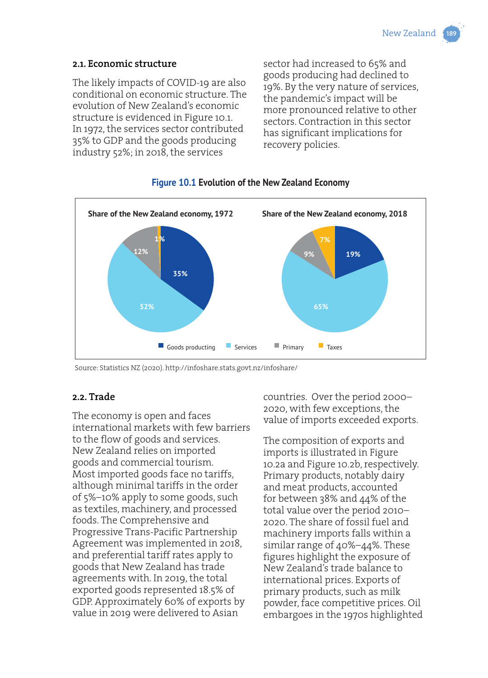#### **2.1. Economic structure**

The likely impacts of COVID-19 are also conditional on economic structure. The evolution of New Zealand's economic structure is evidenced in Figure 10.1. In 1972, the services sector contributed 35% to GDP and the goods producing industry 52%; in 2018, the services

sector had increased to 65% and goods producing had declined to 19%. By the very nature of services, the pandemic's impact will be more pronounced relative to other sectors. Contraction in this sector has significant implications for recovery policies.



#### **Figure 10.1 Evolution of the New Zealand Economy**

Source: Statistics NZ (2020). http://infoshare.stats.govt.nz/infoshare/

#### **2.2. Trade**

The economy is open and faces international markets with few barriers to the flow of goods and services. New Zealand relies on imported goods and commercial tourism. Most imported goods face no tariffs, although minimal tariffs in the order of 5%–10% apply to some goods, such as textiles, machinery, and processed foods. The Comprehensive and Progressive Trans-Pacific Partnership Agreement was implemented in 2018, and preferential tariff rates apply to goods that New Zealand has trade agreements with. In 2019, the total exported goods represented 18.5% of GDP. Approximately 60% of exports by value in 2019 were delivered to Asian

countries. Over the period 2000– 2020, with few exceptions, the value of imports exceeded exports.

The composition of exports and imports is illustrated in Figure 10.2a and Figure 10.2b, respectively. Primary products, notably dairy and meat products, accounted for between 38% and 44% of the total value over the period 2010– 2020. The share of fossil fuel and machinery imports falls within a similar range of 40%–44%. These figures highlight the exposure of New Zealand's trade balance to international prices. Exports of primary products, such as milk powder, face competitive prices. Oil embargoes in the 1970s highlighted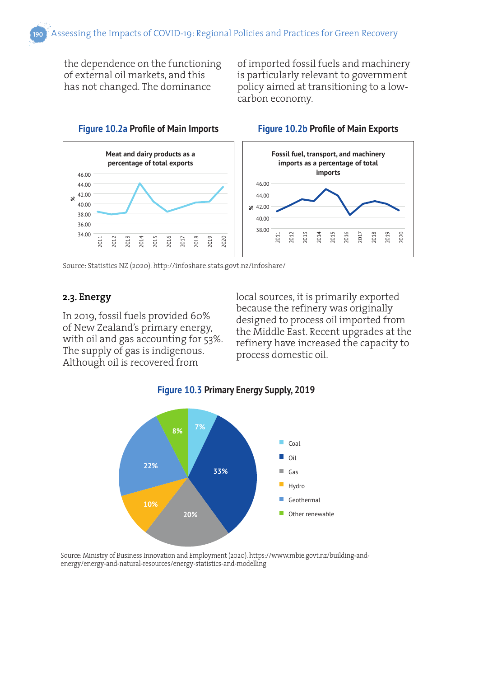the dependence on the functioning of external oil markets, and this has not changed. The dominance

of imported fossil fuels and machinery is particularly relevant to government policy aimed at transitioning to a lowcarbon economy.



#### **Figure 10.2a Profile of Main Imports Figure 10.2b Profile of Main Exports**



Source: Statistics NZ (2020). http://infoshare.stats.govt.nz/infoshare/

#### **2.3. Energy**

In 2019, fossil fuels provided 60% of New Zealand's primary energy, with oil and gas accounting for 53%. The supply of gas is indigenous. Although oil is recovered from

local sources, it is primarily exported because the refinery was originally designed to process oil imported from the Middle East. Recent upgrades at the refinery have increased the capacity to process domestic oil.





Source: Ministry of Business Innovation and Employment (2020). https://www.mbie.govt.nz/building-andenergy/energy-and-natural-resources/energy-statistics-and-modelling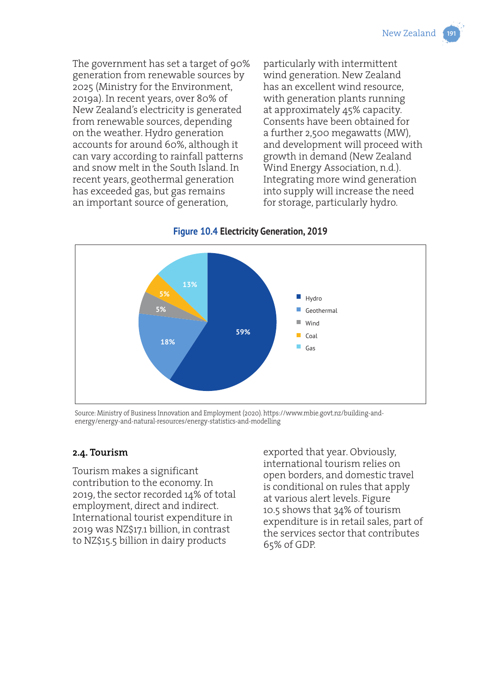The government has set a target of 90% generation from renewable sources by 2025 (Ministry for the Environment, 2019a). In recent years, over 80% of New Zealand's electricity is generated from renewable sources, depending on the weather. Hydro generation accounts for around 60%, although it can vary according to rainfall patterns and snow melt in the South Island. In recent years, geothermal generation has exceeded gas, but gas remains an important source of generation,

particularly with intermittent wind generation. New Zealand has an excellent wind resource, with generation plants running at approximately 45% capacity. Consents have been obtained for a further 2,500 megawatts (MW), and development will proceed with growth in demand (New Zealand Wind Energy Association, n.d.). Integrating more wind generation into supply will increase the need for storage, particularly hydro.



# **Figure 10.4 Electricity Generation, 2019**

Source: Ministry of Business Innovation and Employment (2020). https://www.mbie.govt.nz/building-andenergy/energy-and-natural-resources/energy-statistics-and-modelling

#### **2.4. Tourism**

Tourism makes a significant contribution to the economy. In 2019, the sector recorded 14% of total employment, direct and indirect. International tourist expenditure in 2019 was NZ\$17.1 billion, in contrast to NZ\$15.5 billion in dairy products

exported that year. Obviously, international tourism relies on open borders, and domestic travel is conditional on rules that apply at various alert levels. Figure 10.5 shows that 34% of tourism expenditure is in retail sales, part of the services sector that contributes 65% of GDP.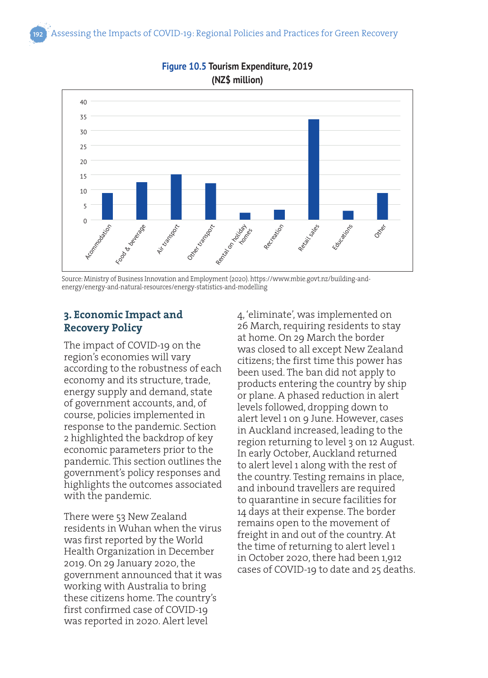

#### **Figure 10.5 Tourism Expenditure, 2019 (NZ\$ million)**

Source: Ministry of Business Innovation and Employment (2020). https://www.mbie.govt.nz/building-andenergy/energy-and-natural-resources/energy-statistics-and-modelling

# **3. Economic Impact and Recovery Policy**

The impact of COVID-19 on the region's economies will vary according to the robustness of each economy and its structure, trade, energy supply and demand, state of government accounts, and, of course, policies implemented in response to the pandemic. Section 2 highlighted the backdrop of key economic parameters prior to the pandemic. This section outlines the government's policy responses and highlights the outcomes associated with the pandemic.

There were 53 New Zealand residents in Wuhan when the virus was first reported by the World Health Organization in December 2019. On 29 January 2020, the government announced that it was working with Australia to bring these citizens home. The country's first confirmed case of COVID-19 was reported in 2020. Alert level

4, 'eliminate', was implemented on 26 March, requiring residents to stay at home. On 29 March the border was closed to all except New Zealand citizens; the first time this power has been used. The ban did not apply to products entering the country by ship or plane. A phased reduction in alert levels followed, dropping down to alert level 1 on 9 June. However, cases in Auckland increased, leading to the region returning to level 3 on 12 August. In early October, Auckland returned to alert level 1 along with the rest of the country. Testing remains in place, and inbound travellers are required to quarantine in secure facilities for 14 days at their expense. The border remains open to the movement of freight in and out of the country. At the time of returning to alert level 1 in October 2020, there had been 1,912 cases of COVID-19 to date and 25 deaths.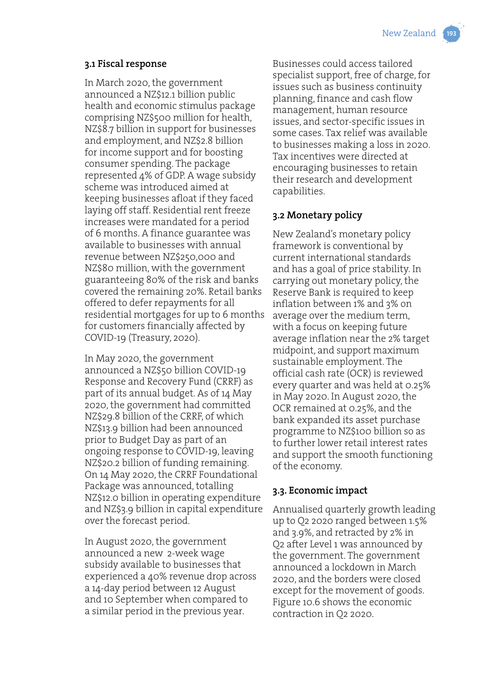#### **3.1 Fiscal response**

In March 2020, the government announced a NZ\$12.1 billion public health and economic stimulus package comprising NZ\$500 million for health, NZ\$8.7 billion in support for businesses and employment, and NZ\$2.8 billion for income support and for boosting consumer spending. The package represented 4% of GDP. A wage subsidy scheme was introduced aimed at keeping businesses afloat if they faced laying off staff. Residential rent freeze increases were mandated for a period of 6 months. A finance guarantee was available to businesses with annual revenue between NZ\$250,000 and NZ\$80 million, with the government guaranteeing 80% of the risk and banks covered the remaining 20%. Retail banks offered to defer repayments for all residential mortgages for up to 6 months for customers financially affected by COVID-19 (Treasury, 2020).

In May 2020, the government announced a NZ\$50 billion COVID-19 Response and Recovery Fund (CRRF) as part of its annual budget. As of 14 May 2020, the government had committed NZ\$29.8 billion of the CRRF, of which NZ\$13.9 billion had been announced prior to Budget Day as part of an ongoing response to COVID-19, leaving NZ\$20.2 billion of funding remaining. On 14 May 2020, the CRRF Foundational Package was announced, totalling NZ\$12.0 billion in operating expenditure and NZ\$3.9 billion in capital expenditure over the forecast period.

In August 2020, the government announced a new 2-week wage subsidy available to businesses that experienced a 40% revenue drop across a 14-day period between 12 August and 10 September when compared to a similar period in the previous year.

Businesses could access tailored specialist support, free of charge, for issues such as business continuity planning, finance and cash flow management, human resource issues, and sector-specific issues in some cases. Tax relief was available to businesses making a loss in 2020. Tax incentives were directed at encouraging businesses to retain their research and development capabilities.

# **3.2 Monetary policy**

New Zealand's monetary policy framework is conventional by current international standards and has a goal of price stability. In carrying out monetary policy, the Reserve Bank is required to keep inflation between 1% and 3% on average over the medium term, with a focus on keeping future average inflation near the 2% target midpoint, and support maximum sustainable employment. The official cash rate (OCR) is reviewed every quarter and was held at 0.25% in May 2020. In August 2020, the OCR remained at 0.25%, and the bank expanded its asset purchase programme to NZ\$100 billion so as to further lower retail interest rates and support the smooth functioning of the economy.

# **3.3. Economic impact**

Annualised quarterly growth leading up to Q2 2020 ranged between 1.5% and 3.9%, and retracted by 2% in Q2 after Level 1 was announced by the government. The government announced a lockdown in March 2020, and the borders were closed except for the movement of goods. Figure 10.6 shows the economic contraction in Q2 2020.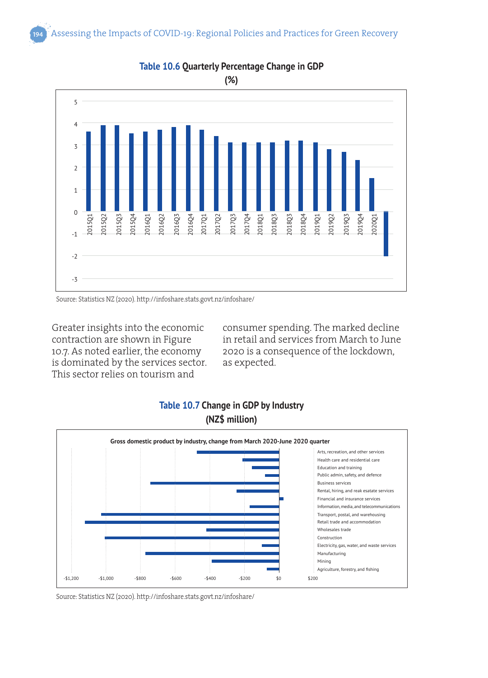

**Table 10.6 Quarterly Percentage Change in GDP**

Greater insights into the economic contraction are shown in Figure 10.7. As noted earlier, the economy is dominated by the services sector. This sector relies on tourism and

consumer spending. The marked decline in retail and services from March to June 2020 is a consequence of the lockdown, as expected.



# **Table 10.7 Change in GDP by Industry (NZ\$ million)**

Source: Statistics NZ (2020). http://infoshare.stats.govt.nz/infoshare/

Source: Statistics NZ (2020). http://infoshare.stats.govt.nz/infoshare/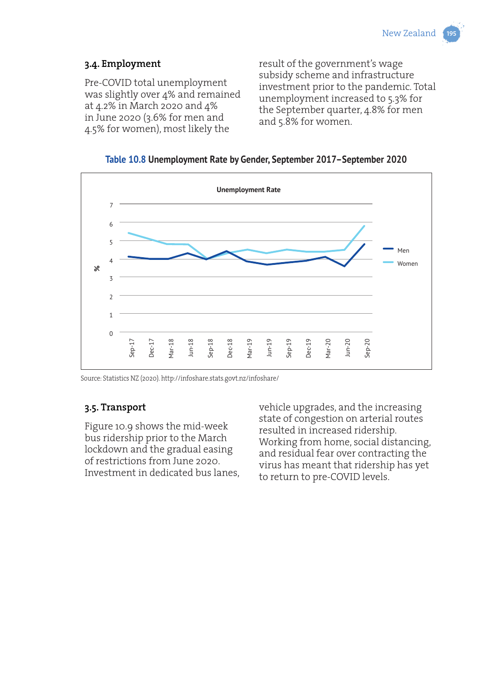# **3.4. Employment**

Pre-COVID total unemployment was slightly over 4% and remained at 4.2% in March 2020 and 4% in June 2020 (3.6% for men and 4.5% for women), most likely the

result of the government's wage subsidy scheme and infrastructure investment prior to the pandemic. Total unemployment increased to 5.3% for the September quarter, 4.8% for men and 5.8% for women.





Source: Statistics NZ (2020). http://infoshare.stats.govt.nz/infoshare/

# **3.5. Transport**

Figure 10.9 shows the mid-week bus ridership prior to the March lockdown and the gradual easing of restrictions from June 2020. Investment in dedicated bus lanes, vehicle upgrades, and the increasing state of congestion on arterial routes resulted in increased ridership. Working from home, social distancing, and residual fear over contracting the virus has meant that ridership has yet to return to pre-COVID levels.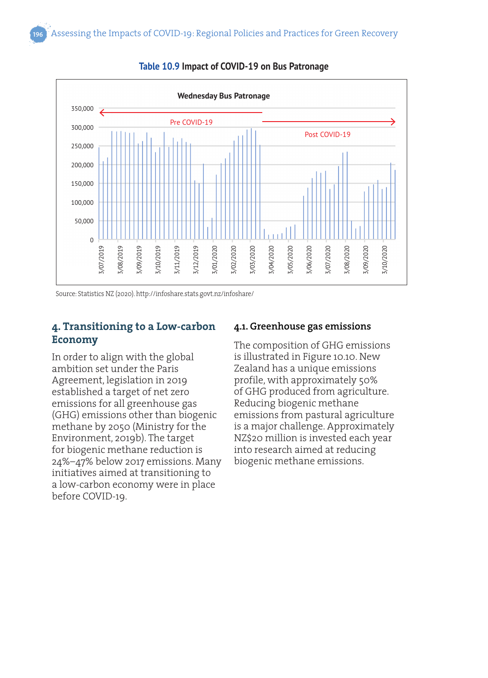

**Table 10.9 Impact of COVID-19 on Bus Patronage**

Source: Statistics NZ (2020). http://infoshare.stats.govt.nz/infoshare/

# **4. Transitioning to a Low-carbon Economy**

In order to align with the global ambition set under the Paris Agreement, legislation in 2019 established a target of net zero emissions for all greenhouse gas (GHG) emissions other than biogenic methane by 2050 (Ministry for the Environment, 2019b). The target for biogenic methane reduction is 24%–47% below 2017 emissions. Many initiatives aimed at transitioning to a low-carbon economy were in place before COVID-19.

#### **4.1. Greenhouse gas emissions**

The composition of GHG emissions is illustrated in Figure 10.10. New Zealand has a unique emissions profile, with approximately 50% of GHG produced from agriculture. Reducing biogenic methane emissions from pastural agriculture is a major challenge. Approximately NZ\$20 million is invested each year into research aimed at reducing biogenic methane emissions.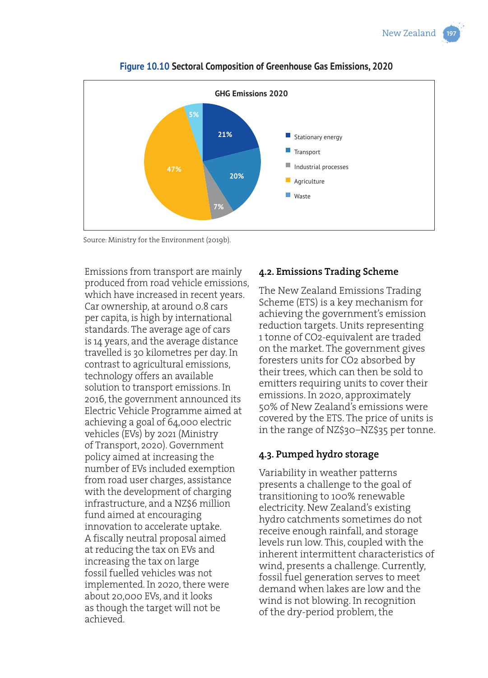

**Figure 10.10 Sectoral Composition of Greenhouse Gas Emissions, 2020**

Source: Ministry for the Environment (2019b).

Emissions from transport are mainly produced from road vehicle emissions, which have increased in recent years. Car ownership, at around 0.8 cars per capita, is high by international standards. The average age of cars is 14 years, and the average distance travelled is 30 kilometres per day. In contrast to agricultural emissions, technology offers an available solution to transport emissions. In 2016, the government announced its Electric Vehicle Programme aimed at achieving a goal of 64,000 electric vehicles (EVs) by 2021 (Ministry of Transport, 2020). Government policy aimed at increasing the number of EVs included exemption from road user charges, assistance with the development of charging infrastructure, and a NZ\$6 million fund aimed at encouraging innovation to accelerate uptake. A fiscally neutral proposal aimed at reducing the tax on EVs and increasing the tax on large fossil fuelled vehicles was not implemented. In 2020, there were about 20,000 EVs, and it looks as though the target will not be achieved.

# **4.2. Emissions Trading Scheme**

The New Zealand Emissions Trading Scheme (ETS) is a key mechanism for achieving the government's emission reduction targets. Units representing 1 tonne of CO2-equivalent are traded on the market. The government gives foresters units for CO2 absorbed by their trees, which can then be sold to emitters requiring units to cover their emissions. In 2020, approximately 50% of New Zealand's emissions were covered by the ETS. The price of units is in the range of NZ\$30–NZ\$35 per tonne.

# **4.3. Pumped hydro storage**

Variability in weather patterns presents a challenge to the goal of transitioning to 100% renewable electricity. New Zealand's existing hydro catchments sometimes do not receive enough rainfall, and storage levels run low. This, coupled with the inherent intermittent characteristics of wind, presents a challenge. Currently, fossil fuel generation serves to meet demand when lakes are low and the wind is not blowing. In recognition of the dry-period problem, the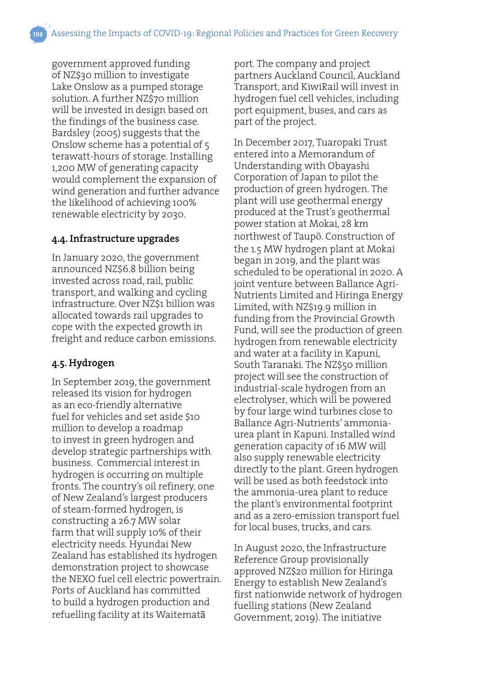government approved funding of NZ\$30 million to investigate Lake Onslow as a pumped storage solution. A further NZ\$70 million will be invested in design based on the findings of the business case. Bardsley (2005) suggests that the Onslow scheme has a potential of 5 terawatt-hours of storage. Installing 1,200 MW of generating capacity would complement the expansion of wind generation and further advance the likelihood of achieving 100% renewable electricity by 2030.

#### **4.4. Infrastructure upgrades**

In January 2020, the government announced NZ\$6.8 billion being invested across road, rail, public transport, and walking and cycling infrastructure. Over NZ\$1 billion was allocated towards rail upgrades to cope with the expected growth in freight and reduce carbon emissions.

# **4.5. Hydrogen**

In September 2019, the government released its vision for hydrogen as an eco-friendly alternative fuel for vehicles and set aside \$10 million to develop a roadmap to invest in green hydrogen and develop strategic partnerships with business. Commercial interest in hydrogen is occurring on multiple fronts. The country's oil refinery, one of New Zealand's largest producers of steam-formed hydrogen, is constructing a 26.7 MW solar farm that will supply 10% of their electricity needs. Hyundai New Zealand has established its hydrogen demonstration project to showcase the NEXO fuel cell electric powertrain. Ports of Auckland has committed to build a hydrogen production and refuelling facility at its Waitematā

port. The company and project partners Auckland Council, Auckland Transport, and KiwiRail will invest in hydrogen fuel cell vehicles, including port equipment, buses, and cars as part of the project.

In December 2017, Tuaropaki Trust entered into a Memorandum of Understanding with Obayashi Corporation of Japan to pilot the production of green hydrogen. The plant will use geothermal energy produced at the Trust's geothermal power station at Mokai, 28 km northwest of Taupō. Construction of the 1.5 MW hydrogen plant at Mokai began in 2019, and the plant was scheduled to be operational in 2020. A joint venture between Ballance Agri-Nutrients Limited and Hiringa Energy Limited, with NZ\$19.9 million in funding from the Provincial Growth Fund, will see the production of green hydrogen from renewable electricity and water at a facility in Kapuni, South Taranaki. The NZ\$50 million project will see the construction of industrial-scale hydrogen from an electrolyser, which will be powered by four large wind turbines close to Ballance Agri-Nutrients' ammoniaurea plant in Kapuni. Installed wind generation capacity of 16 MW will also supply renewable electricity directly to the plant. Green hydrogen will be used as both feedstock into the ammonia-urea plant to reduce the plant's environmental footprint and as a zero-emission transport fuel for local buses, trucks, and cars.

In August 2020, the Infrastructure Reference Group provisionally approved NZ\$20 million for Hiringa Energy to establish New Zealand's first nationwide network of hydrogen fuelling stations (New Zealand Government, 2019). The initiative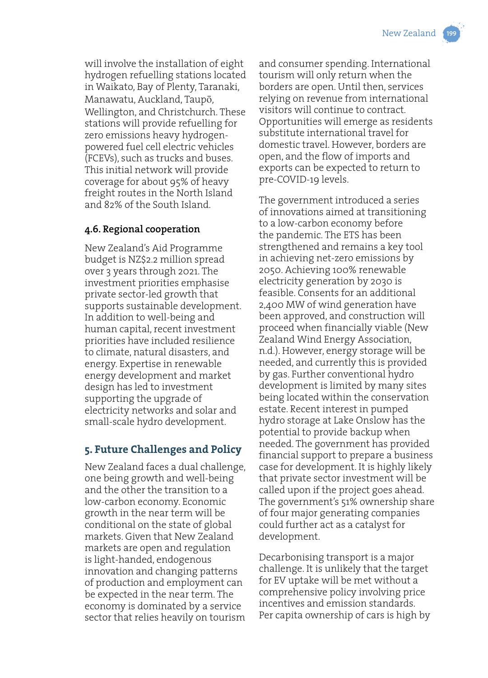will involve the installation of eight hydrogen refuelling stations located in Waikato, Bay of Plenty, Taranaki, Manawatu, Auckland, Taupō, Wellington, and Christchurch. These stations will provide refuelling for zero emissions heavy hydrogenpowered fuel cell electric vehicles (FCEVs), such as trucks and buses. This initial network will provide coverage for about 95% of heavy freight routes in the North Island and 82% of the South Island.

### **4.6. Regional cooperation**

New Zealand's Aid Programme budget is NZ\$2.2 million spread over 3 years through 2021. The investment priorities emphasise private sector-led growth that supports sustainable development. In addition to well-being and human capital, recent investment priorities have included resilience to climate, natural disasters, and energy. Expertise in renewable energy development and market design has led to investment supporting the upgrade of electricity networks and solar and small-scale hydro development.

# **5. Future Challenges and Policy**

New Zealand faces a dual challenge, one being growth and well-being and the other the transition to a low-carbon economy. Economic growth in the near term will be conditional on the state of global markets. Given that New Zealand markets are open and regulation is light-handed, endogenous innovation and changing patterns of production and employment can be expected in the near term. The economy is dominated by a service sector that relies heavily on tourism and consumer spending. International tourism will only return when the borders are open. Until then, services relying on revenue from international visitors will continue to contract. Opportunities will emerge as residents substitute international travel for domestic travel. However, borders are open, and the flow of imports and exports can be expected to return to pre-COVID-19 levels.

The government introduced a series of innovations aimed at transitioning to a low-carbon economy before the pandemic. The ETS has been strengthened and remains a key tool in achieving net-zero emissions by 2050. Achieving 100% renewable electricity generation by 2030 is feasible. Consents for an additional 2,400 MW of wind generation have been approved, and construction will proceed when financially viable (New Zealand Wind Energy Association, n.d.). However, energy storage will be needed, and currently this is provided by gas. Further conventional hydro development is limited by many sites being located within the conservation estate. Recent interest in pumped hydro storage at Lake Onslow has the potential to provide backup when needed. The government has provided financial support to prepare a business case for development. It is highly likely that private sector investment will be called upon if the project goes ahead. The government's 51% ownership share of four major generating companies could further act as a catalyst for development.

Decarbonising transport is a major challenge. It is unlikely that the target for EV uptake will be met without a comprehensive policy involving price incentives and emission standards. Per capita ownership of cars is high by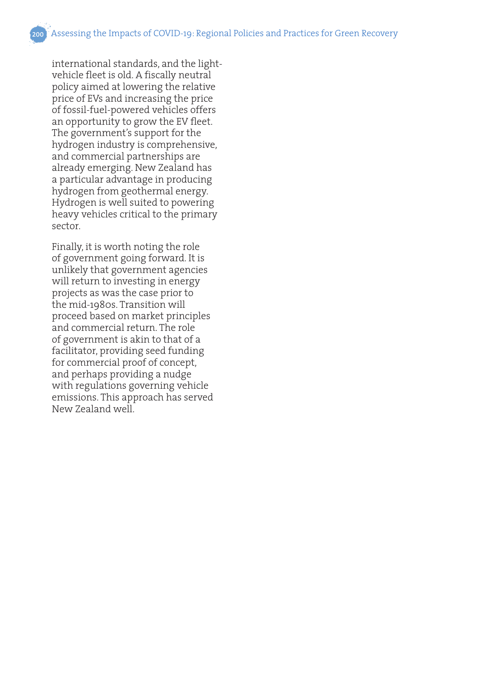international standards, and the lightvehicle fleet is old. A fiscally neutral policy aimed at lowering the relative price of EVs and increasing the price of fossil-fuel-powered vehicles offers an opportunity to grow the EV fleet. The government's support for the hydrogen industry is comprehensive, and commercial partnerships are already emerging. New Zealand has a particular advantage in producing hydrogen from geothermal energy. Hydrogen is well suited to powering heavy vehicles critical to the primary sector.

Finally, it is worth noting the role of government going forward. It is unlikely that government agencies will return to investing in energy projects as was the case prior to the mid-1980s. Transition will proceed based on market principles and commercial return. The role of government is akin to that of a facilitator, providing seed funding for commercial proof of concept, and perhaps providing a nudge with regulations governing vehicle emissions. This approach has served New Zealand well.